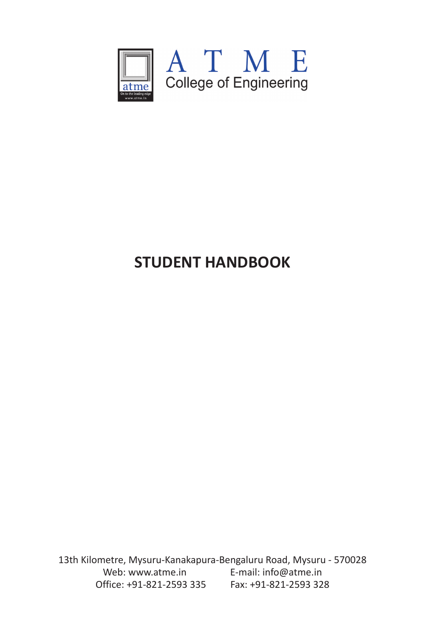

# **STUDENT HANDBOOK**

13th Kilometre, Mysuru-Kanakapura-Bengaluru Road, Mysuru - 570028 Web: www.atme.in E-mail: info@atme.in Office: +91-821-2593 335 Fax: +91-821-2593 328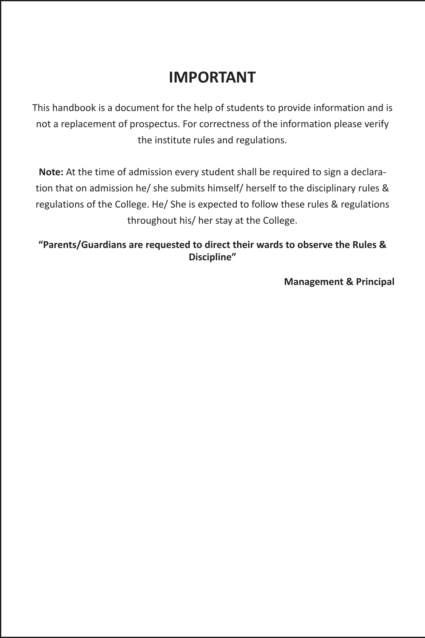## **IMPORTANT**

This handbook is a document for the help of students to provide information and is not a replacement of prospectus. For correctness of the information please verify the institute rules and regulations.

**Note:** At the time of admission every student shall be required to sign a declaration that on admission he/ she submits himself/ herself to the disciplinary rules & regulations of the College. He/ She is expected to follow these rules & regulations throughout his/ her stay at the College.

**"Parents/Guardians are requested to direct their wards to observe the Rules & Discipline"**

**Management & Principal**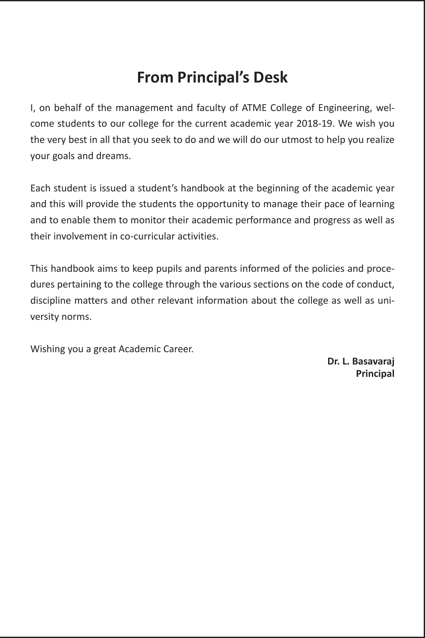### **From Principal's Desk**

I, on behalf of the management and faculty of ATME College of Engineering, welcome students to our college for the current academic year 2018-19. We wish you the very best in all that you seek to do and we will do our utmost to help you realize your goals and dreams.

Each student is issued a student's handbook at the beginning of the academic year and this will provide the students the opportunity to manage their pace of learning and to enable them to monitor their academic performance and progress as well as their involvement in co-curricular activities.

This handbook aims to keep pupils and parents informed of the policies and procedures pertaining to the college through the various sections on the code of conduct, discipline matters and other relevant information about the college as well as university norms.

Wishing you a great Academic Career.

**Dr. L. Basavaraj Principal**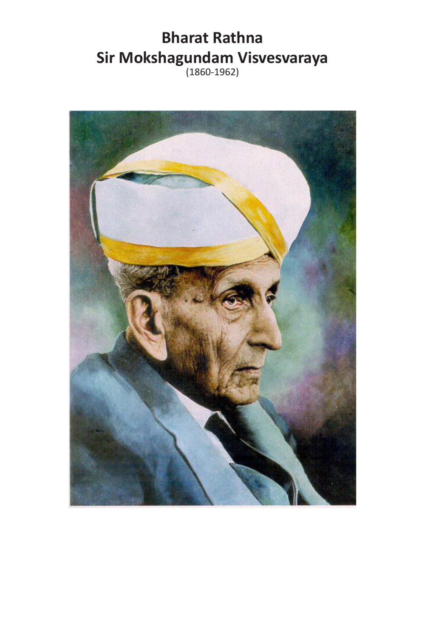# **Bharat Rathna Sir Mokshagundam Visvesvaraya**

(1860-1962)

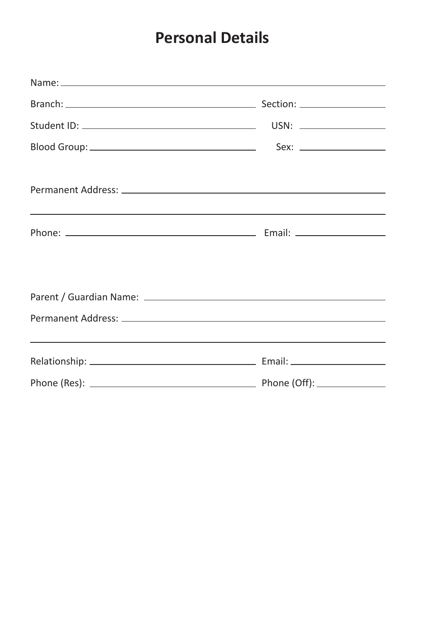### **Personal Details**

| <u> 1999 - Jan Barbara de Santo de Santo de Santo de Santo de Santo de Santo de Santo de Santo de Santo de Santo</u> |
|----------------------------------------------------------------------------------------------------------------------|
|                                                                                                                      |
|                                                                                                                      |
| ,我们也不能在这里的时候,我们也不能在这里的时候,我们也不能会在这里的时候,我们也不能会在这里的时候,我们也不能会在这里的时候,我们也不能会在这里的时候,我们也不                                    |
|                                                                                                                      |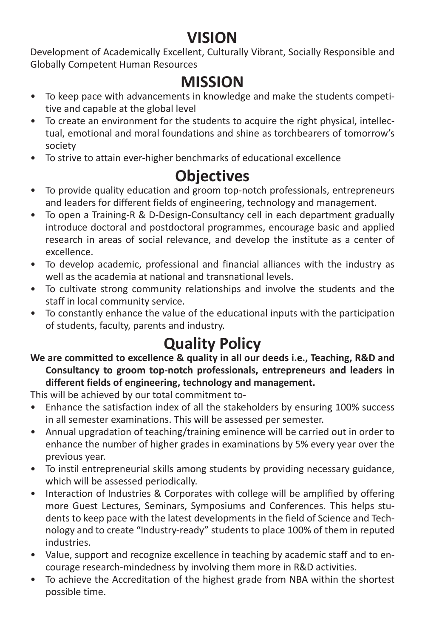### **VISION**

Development of Academically Excellent, Culturally Vibrant, Socially Responsible and Globally Competent Human Resources

### **MISSION**

- To keep pace with advancements in knowledge and make the students competitive and capable at the global level
- To create an environment for the students to acquire the right physical, intellectual, emotional and moral foundations and shine as torchbearers of tomorrow's society
- To strive to attain ever-higher benchmarks of educational excellence

## **Objectives**

- To provide quality education and groom top-notch professionals, entrepreneurs and leaders for different fields of engineering, technology and management.
- To open a Training-R & D-Design-Consultancy cell in each department gradually introduce doctoral and postdoctoral programmes, encourage basic and applied research in areas of social relevance, and develop the institute as a center of excellence.
- To develop academic, professional and financial alliances with the industry as well as the academia at national and transnational levels.
- To cultivate strong community relationships and involve the students and the staff in local community service.
- To constantly enhance the value of the educational inputs with the participation of students, faculty, parents and industry.

# **Quality Policy**

**We are committed to excellence & quality in all our deeds i.e., Teaching, R&D and Consultancy to groom top-notch professionals, entrepreneurs and leaders in different fields of engineering, technology and management.**

This will be achieved by our total commitment to-

- Enhance the satisfaction index of all the stakeholders by ensuring 100% success in all semester examinations. This will be assessed per semester.
- Annual upgradation of teaching/training eminence will be carried out in order to enhance the number of higher grades in examinations by 5% every year over the previous year.
- To instil entrepreneurial skills among students by providing necessary guidance, which will be assessed periodically.
- Interaction of Industries & Corporates with college will be amplified by offering more Guest Lectures, Seminars, Symposiums and Conferences. This helps students to keep pace with the latest developments in the field of Science and Technology and to create "Industry-ready" students to place 100% of them in reputed industries.
- Value, support and recognize excellence in teaching by academic staff and to encourage research-mindedness by involving them more in R&D activities.
- To achieve the Accreditation of the highest grade from NBA within the shortest possible time.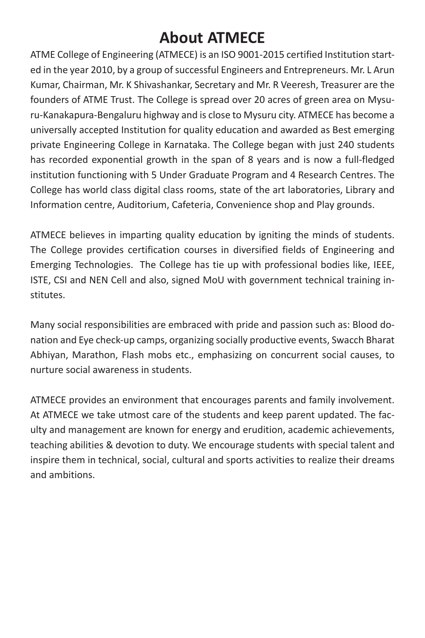## **About ATMECE**

ATME College of Engineering (ATMECE) is an ISO 9001-2015 certified Institution started in the year 2010, by a group of successful Engineers and Entrepreneurs. Mr. L Arun Kumar, Chairman, Mr. K Shivashankar, Secretary and Mr. R Veeresh, Treasurer are the founders of ATME Trust. The College is spread over 20 acres of green area on Mysuru-Kanakapura-Bengaluru highway and is close to Mysuru city. ATMECE has become a universally accepted Institution for quality education and awarded as Best emerging private Engineering College in Karnataka. The College began with just 240 students has recorded exponential growth in the span of 8 years and is now a full-fledged institution functioning with 5 Under Graduate Program and 4 Research Centres. The College has world class digital class rooms, state of the art laboratories, Library and Information centre, Auditorium, Cafeteria, Convenience shop and Play grounds.

ATMECE believes in imparting quality education by igniting the minds of students. The College provides certification courses in diversified fields of Engineering and Emerging Technologies. The College has tie up with professional bodies like, IEEE, ISTE, CSI and NEN Cell and also, signed MoU with government technical training institutes.

Many social responsibilities are embraced with pride and passion such as: Blood donation and Eye check-up camps, organizing socially productive events, Swacch Bharat Abhiyan, Marathon, Flash mobs etc., emphasizing on concurrent social causes, to nurture social awareness in students.

ATMECE provides an environment that encourages parents and family involvement. At ATMECE we take utmost care of the students and keep parent updated. The faculty and management are known for energy and erudition, academic achievements, teaching abilities & devotion to duty. We encourage students with special talent and inspire them in technical, social, cultural and sports activities to realize their dreams and ambitions.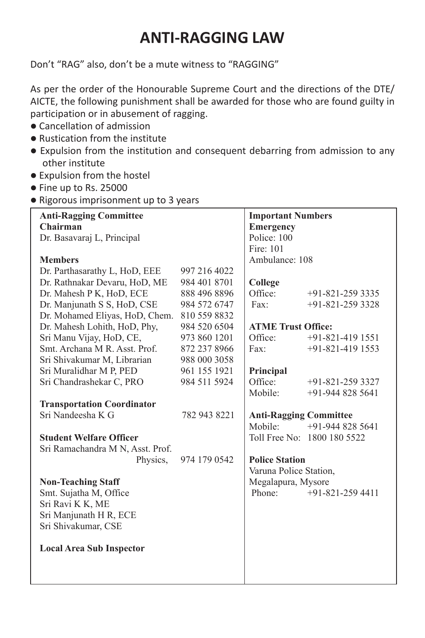### **ANTI-RAGGING LAW**

Don't "RAG" also, don't be a mute witness to "RAGGING"

As per the order of the Honourable Supreme Court and the directions of the DTE/ AICTE, the following punishment shall be awarded for those who are found guilty in participation or in abusement of ragging.

- Cancellation of admission
- $\bullet$  Rustication from the institute
- Expulsion from the institution and consequent debarring from admission to any other institute
- $\bullet$  Expulsion from the hostel
- $\bullet$  Fine up to Rs. 25000
- Rigorous imprisonment up to 3 years

| <b>Anti-Ragging Committee</b>     |              | <b>Important Numbers</b>      |                             |
|-----------------------------------|--------------|-------------------------------|-----------------------------|
| Chairman                          |              | <b>Emergency</b>              |                             |
| Dr. Basavaraj L, Principal        |              | Police: 100                   |                             |
|                                   |              | Fire: 101                     |                             |
| <b>Members</b>                    |              | Ambulance: 108                |                             |
| Dr. Parthasarathy L, HoD, EEE     | 997 216 4022 |                               |                             |
| Dr. Rathnakar Devaru, HoD, ME     | 984 401 8701 | College                       |                             |
| Dr. Mahesh P K, HoD, ECE          | 888 496 8896 | Office <sup>-</sup>           | $+91 - 821 - 2593335$       |
| Dr. Manjunath S S, HoD, CSE       | 984 572 6747 | Fax:                          | $+91-821-2593328$           |
| Dr. Mohamed Eliyas, HoD, Chem.    | 810 559 8832 |                               |                             |
| Dr. Mahesh Lohith, HoD, Phy,      | 984 520 6504 | <b>ATME Trust Office:</b>     |                             |
| Sri Manu Vijay, HoD, CE,          | 973 860 1201 | Office:                       | $+91-821-4191551$           |
| Smt. Archana M R. Asst. Prof.     | 872 237 8966 | Fax:                          | $+91-821-419$ 1553          |
| Sri Shivakumar M, Librarian       | 988 000 3058 |                               |                             |
| Sri Muralidhar M P, PED           | 961 155 1921 | Principal                     |                             |
| Sri Chandrashekar C, PRO          | 984 511 5924 | Office:                       | $+91 - 821 - 2593327$       |
|                                   |              | Mobile:                       | $+91-9448285641$            |
| <b>Transportation Coordinator</b> |              |                               |                             |
| Sri Nandeesha K G                 | 782 943 8221 | <b>Anti-Ragging Committee</b> |                             |
|                                   |              | Mobile:                       | $+91-9448285641$            |
| <b>Student Welfare Officer</b>    |              |                               | Toll Free No: 1800 180 5522 |
| Sri Ramachandra M N, Asst. Prof.  |              |                               |                             |
| Physics.                          | 974 179 0542 | <b>Police Station</b>         |                             |
|                                   |              | Varuna Police Station,        |                             |
| <b>Non-Teaching Staff</b>         |              | Megalapura, Mysore            |                             |
| Smt. Sujatha M, Office            |              | Phone:                        | $+91-821-2594411$           |
| Sri Ravi K K, ME                  |              |                               |                             |
| Sri Manjunath H R, ECE            |              |                               |                             |
| Sri Shivakumar, CSE               |              |                               |                             |
|                                   |              |                               |                             |
| <b>Local Area Sub Inspector</b>   |              |                               |                             |
|                                   |              |                               |                             |
|                                   |              |                               |                             |
|                                   |              |                               |                             |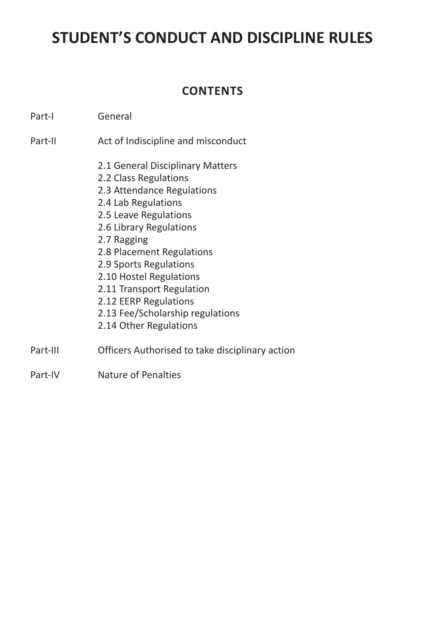### **STUDENT'S CONDUCT AND DISCIPLINE RULES**

### **CONTENTS**

- Part-I General
- Part-II Act of Indiscipline and misconduct
	- 2.1 General Disciplinary Matters
	- 2.2 Class Regulations
	- 2.3 Attendance Regulations
	- 2.4 Lab Regulations
	- 2.5 Leave Regulations
	- 2.6 Library Regulations
	- 2.7 Ragging
	- 2.8 Placement Regulations
	- 2.9 Sports Regulations
	- 2.10 Hostel Regulations
	- 2.11 Transport Regulation
	- 2.12 EERP Regulations
	- 2.13 Fee/Scholarship regulations
	- 2.14 Other Regulations
- Part-III Officers Authorised to take disciplinary action
- Part-IV Nature of Penalties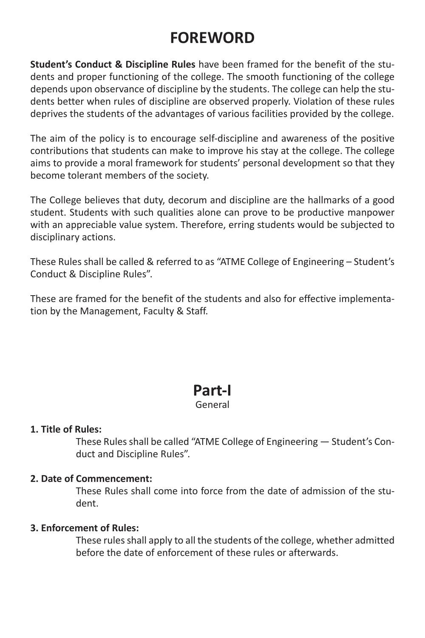### **FOREWORD**

**Student's Conduct & Discipline Rules** have been framed for the benefit of the students and proper functioning of the college. The smooth functioning of the college depends upon observance of discipline by the students. The college can help the students better when rules of discipline are observed properly. Violation of these rules deprives the students of the advantages of various facilities provided by the college.

The aim of the policy is to encourage self-discipline and awareness of the positive contributions that students can make to improve his stay at the college. The college aims to provide a moral framework for students' personal development so that they become tolerant members of the society.

The College believes that duty, decorum and discipline are the hallmarks of a good student. Students with such qualities alone can prove to be productive manpower with an appreciable value system. Therefore, erring students would be subjected to disciplinary actions.

These Rules shall be called & referred to as "ATME College of Engineering – Student's Conduct & Discipline Rules".

These are framed for the benefit of the students and also for effective implementation by the Management, Faculty & Staff.

### **Part-I**

#### General

#### **1. Title of Rules:**

These Rules shall be called "ATME College of Engineering — Student's Conduct and Discipline Rules".

#### **2. Date of Commencement:**

These Rules shall come into force from the date of admission of the student.

#### **3. Enforcement of Rules:**

These rules shall apply to all the students of the college, whether admitted before the date of enforcement of these rules or afterwards.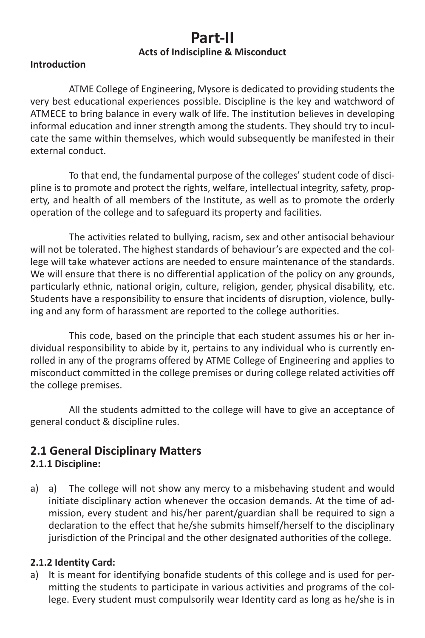### **Part-II Acts of Indiscipline & Misconduct**

#### **Introduction**

ATME College of Engineering, Mysore is dedicated to providing students the very best educational experiences possible. Discipline is the key and watchword of ATMECE to bring balance in every walk of life. The institution believes in developing informal education and inner strength among the students. They should try to inculcate the same within themselves, which would subsequently be manifested in their external conduct.

To that end, the fundamental purpose of the colleges' student code of discipline is to promote and protect the rights, welfare, intellectual integrity, safety, property, and health of all members of the Institute, as well as to promote the orderly operation of the college and to safeguard its property and facilities.

The activities related to bullying, racism, sex and other antisocial behaviour will not be tolerated. The highest standards of behaviour's are expected and the college will take whatever actions are needed to ensure maintenance of the standards. We will ensure that there is no differential application of the policy on any grounds, particularly ethnic, national origin, culture, religion, gender, physical disability, etc. Students have a responsibility to ensure that incidents of disruption, violence, bullying and any form of harassment are reported to the college authorities.

This code, based on the principle that each student assumes his or her individual responsibility to abide by it, pertains to any individual who is currently enrolled in any of the programs offered by ATME College of Engineering and applies to misconduct committed in the college premises or during college related activities off the college premises.

All the students admitted to the college will have to give an acceptance of general conduct & discipline rules.

### **2.1 General Disciplinary Matters**

#### **2.1.1 Discipline:**

a) a) The college will not show any mercy to a misbehaving student and would initiate disciplinary action whenever the occasion demands. At the time of admission, every student and his/her parent/guardian shall be required to sign a declaration to the effect that he/she submits himself/herself to the disciplinary jurisdiction of the Principal and the other designated authorities of the college.

#### **2.1.2 Identity Card:**

a) It is meant for identifying bonafide students of this college and is used for permitting the students to participate in various activities and programs of the college. Every student must compulsorily wear Identity card as long as he/she is in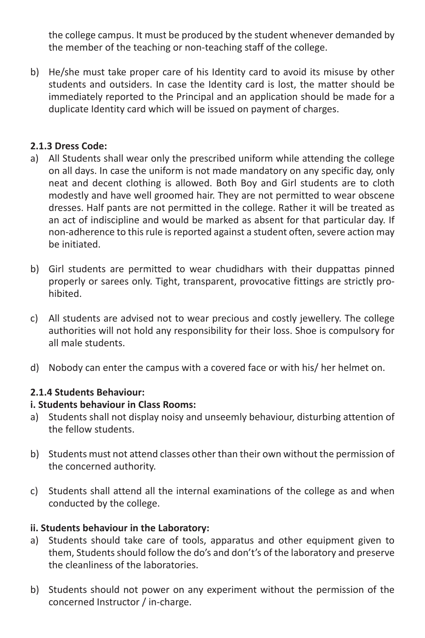the college campus. It must be produced by the student whenever demanded by the member of the teaching or non-teaching staff of the college.

b) He/she must take proper care of his Identity card to avoid its misuse by other students and outsiders. In case the Identity card is lost, the matter should be immediately reported to the Principal and an application should be made for a duplicate Identity card which will be issued on payment of charges.

#### **2.1.3 Dress Code:**

- a) All Students shall wear only the prescribed uniform while attending the college on all days. In case the uniform is not made mandatory on any specific day, only neat and decent clothing is allowed. Both Boy and Girl students are to cloth modestly and have well groomed hair. They are not permitted to wear obscene dresses. Half pants are not permitted in the college. Rather it will be treated as an act of indiscipline and would be marked as absent for that particular day. If non-adherence to this rule is reported against a student often, severe action may be initiated.
- b) Girl students are permitted to wear chudidhars with their duppattas pinned properly or sarees only. Tight, transparent, provocative fittings are strictly prohibited.
- c) All students are advised not to wear precious and costly jewellery. The college authorities will not hold any responsibility for their loss. Shoe is compulsory for all male students.
- d) Nobody can enter the campus with a covered face or with his/ her helmet on.

#### **2.1.4 Students Behaviour:**

#### **i. Students behaviour in Class Rooms:**

- a) Students shall not display noisy and unseemly behaviour, disturbing attention of the fellow students.
- b) Students must not attend classes other than their own without the permission of the concerned authority.
- c) Students shall attend all the internal examinations of the college as and when conducted by the college.

#### **ii. Students behaviour in the Laboratory:**

- a) Students should take care of tools, apparatus and other equipment given to them, Students should follow the do's and don't's of the laboratory and preserve the cleanliness of the laboratories.
- b) Students should not power on any experiment without the permission of the concerned Instructor / in-charge.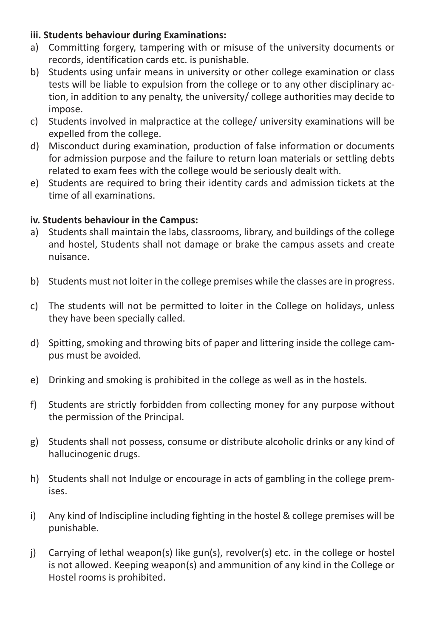#### **iii. Students behaviour during Examinations:**

- a) Committing forgery, tampering with or misuse of the university documents or records, identification cards etc. is punishable.
- b) Students using unfair means in university or other college examination or class tests will be liable to expulsion from the college or to any other disciplinary action, in addition to any penalty, the university/ college authorities may decide to impose.
- c) Students involved in malpractice at the college/ university examinations will be expelled from the college.
- d) Misconduct during examination, production of false information or documents for admission purpose and the failure to return loan materials or settling debts related to exam fees with the college would be seriously dealt with.
- e) Students are required to bring their identity cards and admission tickets at the time of all examinations.

#### **iv. Students behaviour in the Campus:**

- a) Students shall maintain the labs, classrooms, library, and buildings of the college and hostel, Students shall not damage or brake the campus assets and create nuisance.
- b) Students must not loiter in the college premises while the classes are in progress.
- c) The students will not be permitted to loiter in the College on holidays, unless they have been specially called.
- d) Spitting, smoking and throwing bits of paper and littering inside the college campus must be avoided.
- e) Drinking and smoking is prohibited in the college as well as in the hostels.
- f) Students are strictly forbidden from collecting money for any purpose without the permission of the Principal.
- g) Students shall not possess, consume or distribute alcoholic drinks or any kind of hallucinogenic drugs.
- h) Students shall not Indulge or encourage in acts of gambling in the college premises.
- i) Any kind of Indiscipline including fighting in the hostel & college premises will be punishable.
- j) Carrying of lethal weapon(s) like gun(s), revolver(s) etc. in the college or hostel is not allowed. Keeping weapon(s) and ammunition of any kind in the College or Hostel rooms is prohibited.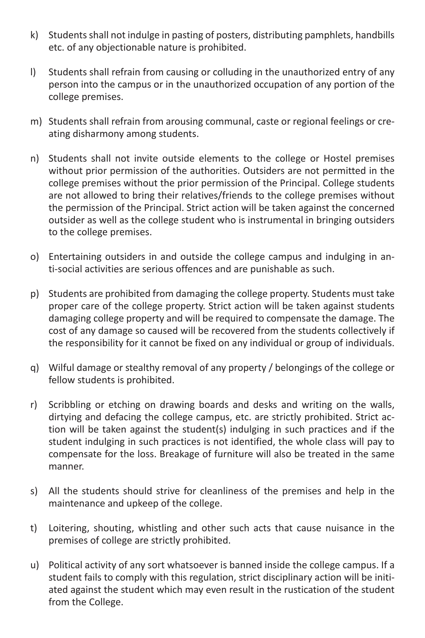- k) Students shall not indulge in pasting of posters, distributing pamphlets, handbills etc. of any objectionable nature is prohibited.
- l) Students shall refrain from causing or colluding in the unauthorized entry of any person into the campus or in the unauthorized occupation of any portion of the college premises.
- m) Students shall refrain from arousing communal, caste or regional feelings or creating disharmony among students.
- n) Students shall not invite outside elements to the college or Hostel premises without prior permission of the authorities. Outsiders are not permitted in the college premises without the prior permission of the Principal. College students are not allowed to bring their relatives/friends to the college premises without the permission of the Principal. Strict action will be taken against the concerned outsider as well as the college student who is instrumental in bringing outsiders to the college premises.
- o) Entertaining outsiders in and outside the college campus and indulging in anti-social activities are serious offences and are punishable as such.
- p) Students are prohibited from damaging the college property. Students must take proper care of the college property. Strict action will be taken against students damaging college property and will be required to compensate the damage. The cost of any damage so caused will be recovered from the students collectively if the responsibility for it cannot be fixed on any individual or group of individuals.
- q) Wilful damage or stealthy removal of any property / belongings of the college or fellow students is prohibited.
- r) Scribbling or etching on drawing boards and desks and writing on the walls, dirtying and defacing the college campus, etc. are strictly prohibited. Strict action will be taken against the student(s) indulging in such practices and if the student indulging in such practices is not identified, the whole class will pay to compensate for the loss. Breakage of furniture will also be treated in the same manner.
- s) All the students should strive for cleanliness of the premises and help in the maintenance and upkeep of the college.
- t) Loitering, shouting, whistling and other such acts that cause nuisance in the premises of college are strictly prohibited.
- u) Political activity of any sort whatsoever is banned inside the college campus. If a student fails to comply with this regulation, strict disciplinary action will be initiated against the student which may even result in the rustication of the student from the College.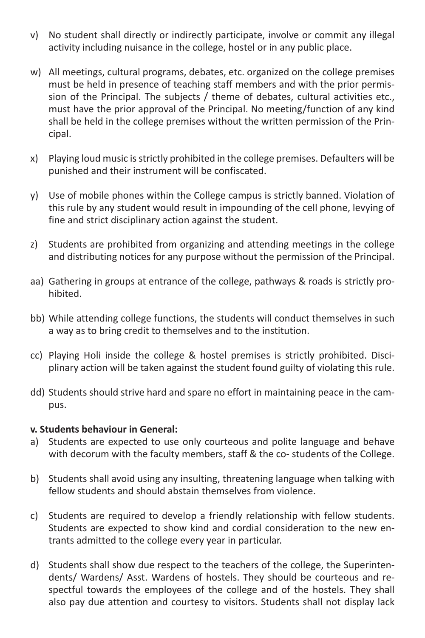- v) No student shall directly or indirectly participate, involve or commit any illegal activity including nuisance in the college, hostel or in any public place.
- w) All meetings, cultural programs, debates, etc. organized on the college premises must be held in presence of teaching staff members and with the prior permission of the Principal. The subjects / theme of debates, cultural activities etc., must have the prior approval of the Principal. No meeting/function of any kind shall be held in the college premises without the written permission of the Principal.
- x) Playing loud music is strictly prohibited in the college premises. Defaulters will be punished and their instrument will be confiscated.
- y) Use of mobile phones within the College campus is strictly banned. Violation of this rule by any student would result in impounding of the cell phone, levying of fine and strict disciplinary action against the student.
- z) Students are prohibited from organizing and attending meetings in the college and distributing notices for any purpose without the permission of the Principal.
- aa) Gathering in groups at entrance of the college, pathways & roads is strictly prohibited.
- bb) While attending college functions, the students will conduct themselves in such a way as to bring credit to themselves and to the institution.
- cc) Playing Holi inside the college & hostel premises is strictly prohibited. Disciplinary action will be taken against the student found guilty of violating this rule.
- dd) Students should strive hard and spare no effort in maintaining peace in the campus.

#### **v. Students behaviour in General:**

- a) Students are expected to use only courteous and polite language and behave with decorum with the faculty members, staff & the co- students of the College.
- b) Students shall avoid using any insulting, threatening language when talking with fellow students and should abstain themselves from violence.
- c) Students are required to develop a friendly relationship with fellow students. Students are expected to show kind and cordial consideration to the new entrants admitted to the college every year in particular.
- d) Students shall show due respect to the teachers of the college, the Superintendents/ Wardens/ Asst. Wardens of hostels. They should be courteous and respectful towards the employees of the college and of the hostels. They shall also pay due attention and courtesy to visitors. Students shall not display lack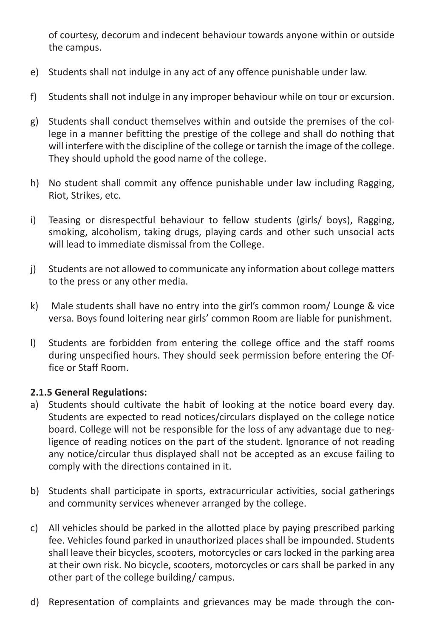of courtesy, decorum and indecent behaviour towards anyone within or outside the campus.

- e) Students shall not indulge in any act of any offence punishable under law.
- f) Students shall not indulge in any improper behaviour while on tour or excursion.
- g) Students shall conduct themselves within and outside the premises of the college in a manner befitting the prestige of the college and shall do nothing that will interfere with the discipline of the college or tarnish the image of the college. They should uphold the good name of the college.
- h) No student shall commit any offence punishable under law including Ragging, Riot, Strikes, etc.
- i) Teasing or disrespectful behaviour to fellow students (girls/ boys), Ragging, smoking, alcoholism, taking drugs, playing cards and other such unsocial acts will lead to immediate dismissal from the College.
- j) Students are not allowed to communicate any information about college matters to the press or any other media.
- k) Male students shall have no entry into the girl's common room/ Lounge & vice versa. Boys found loitering near girls' common Room are liable for punishment.
- l) Students are forbidden from entering the college office and the staff rooms during unspecified hours. They should seek permission before entering the Office or Staff Room.

#### **2.1.5 General Regulations:**

- a) Students should cultivate the habit of looking at the notice board every day. Students are expected to read notices/circulars displayed on the college notice board. College will not be responsible for the loss of any advantage due to negligence of reading notices on the part of the student. Ignorance of not reading any notice/circular thus displayed shall not be accepted as an excuse failing to comply with the directions contained in it.
- b) Students shall participate in sports, extracurricular activities, social gatherings and community services whenever arranged by the college.
- c) All vehicles should be parked in the allotted place by paying prescribed parking fee. Vehicles found parked in unauthorized places shall be impounded. Students shall leave their bicycles, scooters, motorcycles or cars locked in the parking area at their own risk. No bicycle, scooters, motorcycles or cars shall be parked in any other part of the college building/ campus.
- d) Representation of complaints and grievances may be made through the con-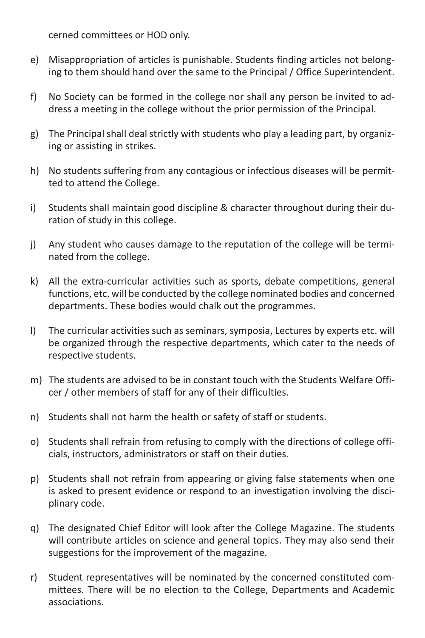cerned committees or HOD only.

- e) Misappropriation of articles is punishable. Students finding articles not belonging to them should hand over the same to the Principal / Office Superintendent.
- f) No Society can be formed in the college nor shall any person be invited to address a meeting in the college without the prior permission of the Principal.
- g) The Principal shall deal strictly with students who play a leading part, by organizing or assisting in strikes.
- h) No students suffering from any contagious or infectious diseases will be permitted to attend the College.
- i) Students shall maintain good discipline & character throughout during their duration of study in this college.
- j) Any student who causes damage to the reputation of the college will be terminated from the college.
- k) All the extra-curricular activities such as sports, debate competitions, general functions, etc. will be conducted by the college nominated bodies and concerned departments. These bodies would chalk out the programmes.
- l) The curricular activities such as seminars, symposia, Lectures by experts etc. will be organized through the respective departments, which cater to the needs of respective students.
- m) The students are advised to be in constant touch with the Students Welfare Officer / other members of staff for any of their difficulties.
- n) Students shall not harm the health or safety of staff or students.
- o) Students shall refrain from refusing to comply with the directions of college officials, instructors, administrators or staff on their duties.
- p) Students shall not refrain from appearing or giving false statements when one is asked to present evidence or respond to an investigation involving the disciplinary code.
- q) The designated Chief Editor will look after the College Magazine. The students will contribute articles on science and general topics. They may also send their suggestions for the improvement of the magazine.
- r) Student representatives will be nominated by the concerned constituted committees. There will be no election to the College, Departments and Academic associations.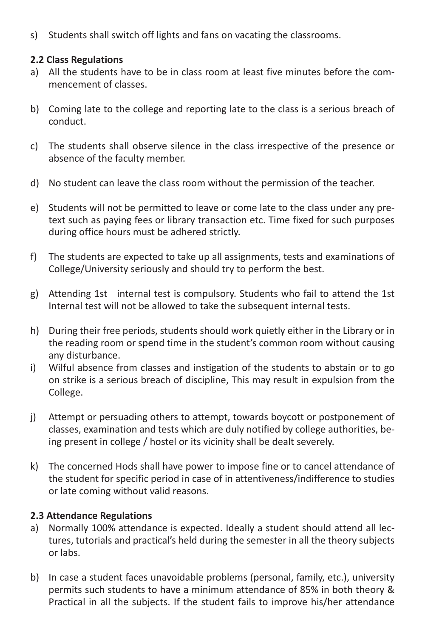s) Students shall switch off lights and fans on vacating the classrooms.

#### **2.2 Class Regulations**

- a) All the students have to be in class room at least five minutes before the commencement of classes.
- b) Coming late to the college and reporting late to the class is a serious breach of conduct.
- c) The students shall observe silence in the class irrespective of the presence or absence of the faculty member.
- d) No student can leave the class room without the permission of the teacher.
- e) Students will not be permitted to leave or come late to the class under any pretext such as paying fees or library transaction etc. Time fixed for such purposes during office hours must be adhered strictly.
- f) The students are expected to take up all assignments, tests and examinations of College/University seriously and should try to perform the best.
- g) Attending 1st internal test is compulsory. Students who fail to attend the 1st Internal test will not be allowed to take the subsequent internal tests.
- h) During their free periods, students should work quietly either in the Library or in the reading room or spend time in the student's common room without causing any disturbance.
- i) Wilful absence from classes and instigation of the students to abstain or to go on strike is a serious breach of discipline, This may result in expulsion from the College.
- j) Attempt or persuading others to attempt, towards boycott or postponement of classes, examination and tests which are duly notified by college authorities, being present in college / hostel or its vicinity shall be dealt severely.
- k) The concerned Hods shall have power to impose fine or to cancel attendance of the student for specific period in case of in attentiveness/indifference to studies or late coming without valid reasons.

#### **2.3 Attendance Regulations**

- a) Normally 100% attendance is expected. Ideally a student should attend all lectures, tutorials and practical's held during the semester in all the theory subjects or labs.
- b) In case a student faces unavoidable problems (personal, family, etc.), university permits such students to have a minimum attendance of 85% in both theory & Practical in all the subjects. If the student fails to improve his/her attendance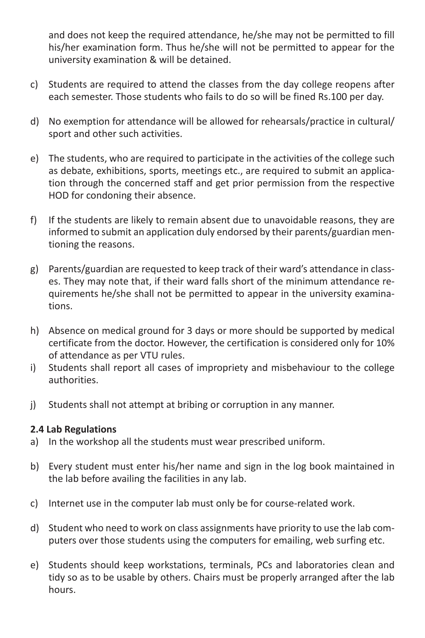and does not keep the required attendance, he/she may not be permitted to fill his/her examination form. Thus he/she will not be permitted to appear for the university examination & will be detained.

- c) Students are required to attend the classes from the day college reopens after each semester. Those students who fails to do so will be fined Rs.100 per day.
- d) No exemption for attendance will be allowed for rehearsals/practice in cultural/ sport and other such activities.
- e) The students, who are required to participate in the activities of the college such as debate, exhibitions, sports, meetings etc., are required to submit an application through the concerned staff and get prior permission from the respective HOD for condoning their absence.
- f) If the students are likely to remain absent due to unavoidable reasons, they are informed to submit an application duly endorsed by their parents/guardian mentioning the reasons.
- g) Parents/guardian are requested to keep track of their ward's attendance in classes. They may note that, if their ward falls short of the minimum attendance requirements he/she shall not be permitted to appear in the university examinations.
- h) Absence on medical ground for 3 days or more should be supported by medical certificate from the doctor. However, the certification is considered only for 10% of attendance as per VTU rules.
- i) Students shall report all cases of impropriety and misbehaviour to the college authorities.
- j) Students shall not attempt at bribing or corruption in any manner.

#### **2.4 Lab Regulations**

- a) In the workshop all the students must wear prescribed uniform.
- b) Every student must enter his/her name and sign in the log book maintained in the lab before availing the facilities in any lab.
- c) Internet use in the computer lab must only be for course-related work.
- d) Student who need to work on class assignments have priority to use the lab computers over those students using the computers for emailing, web surfing etc.
- e) Students should keep workstations, terminals, PCs and laboratories clean and tidy so as to be usable by others. Chairs must be properly arranged after the lab hours.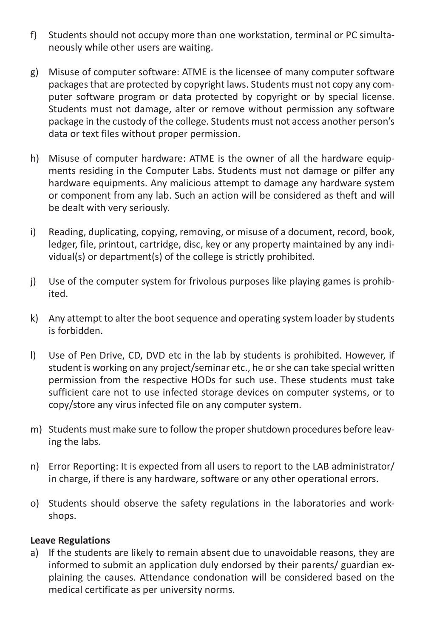- f) Students should not occupy more than one workstation, terminal or PC simultaneously while other users are waiting.
- g) Misuse of computer software: ATME is the licensee of many computer software packages that are protected by copyright laws. Students must not copy any computer software program or data protected by copyright or by special license. Students must not damage, alter or remove without permission any software package in the custody of the college. Students must not access another person's data or text files without proper permission.
- h) Misuse of computer hardware: ATME is the owner of all the hardware equipments residing in the Computer Labs. Students must not damage or pilfer any hardware equipments. Any malicious attempt to damage any hardware system or component from any lab. Such an action will be considered as theft and will be dealt with very seriously.
- i) Reading, duplicating, copying, removing, or misuse of a document, record, book, ledger, file, printout, cartridge, disc, key or any property maintained by any individual(s) or department(s) of the college is strictly prohibited.
- j) Use of the computer system for frivolous purposes like playing games is prohibited.
- k) Any attempt to alter the boot sequence and operating system loader by students is forbidden.
- l) Use of Pen Drive, CD, DVD etc in the lab by students is prohibited. However, if student is working on any project/seminar etc., he or she can take special written permission from the respective HODs for such use. These students must take sufficient care not to use infected storage devices on computer systems, or to copy/store any virus infected file on any computer system.
- m) Students must make sure to follow the proper shutdown procedures before leaving the labs.
- n) Error Reporting: It is expected from all users to report to the LAB administrator/ in charge, if there is any hardware, software or any other operational errors.
- o) Students should observe the safety regulations in the laboratories and workshops.

#### **Leave Regulations**

a) If the students are likely to remain absent due to unavoidable reasons, they are informed to submit an application duly endorsed by their parents/ guardian explaining the causes. Attendance condonation will be considered based on the medical certificate as per university norms.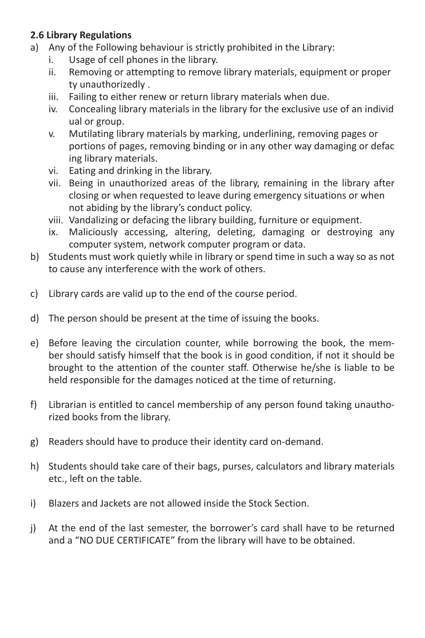#### **2.6 Library Regulations**

- a) Any of the Following behaviour is strictly prohibited in the Library:
	- i. Usage of cell phones in the library.
	- ii. Removing or attempting to remove library materials, equipment or proper ty unauthorizedly .
	- iii. Failing to either renew or return library materials when due.
	- iv. Concealing library materials in the library for the exclusive use of an individ ual or group.
	- v. Mutilating library materials by marking, underlining, removing pages or portions of pages, removing binding or in any other way damaging or defac ing library materials.
	- vi. Eating and drinking in the library.
	- vii. Being in unauthorized areas of the library, remaining in the library after closing or when requested to leave during emergency situations or when not abiding by the library's conduct policy.
	- viii. Vandalizing or defacing the library building, furniture or equipment.
	- ix. Maliciously accessing, altering, deleting, damaging or destroying any computer system, network computer program or data.
- b) Students must work quietly while in library or spend time in such a way so as not to cause any interference with the work of others.
- c) Library cards are valid up to the end of the course period.
- d) The person should be present at the time of issuing the books.
- e) Before leaving the circulation counter, while borrowing the book, the member should satisfy himself that the book is in good condition, if not it should be brought to the attention of the counter staff. Otherwise he/she is liable to be held responsible for the damages noticed at the time of returning.
- f) Librarian is entitled to cancel membership of any person found taking unauthorized books from the library.
- g) Readers should have to produce their identity card on-demand.
- h) Students should take care of their bags, purses, calculators and library materials etc., left on the table.
- i) Blazers and Jackets are not allowed inside the Stock Section.
- j) At the end of the last semester, the borrower's card shall have to be returned and a "NO DUE CERTIFICATE" from the library will have to be obtained.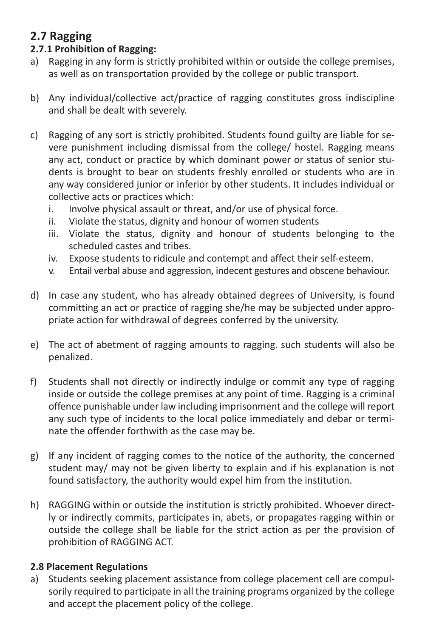### **2.7 Ragging**

#### **2.7.1 Prohibition of Ragging:**

- a) Ragging in any form is strictly prohibited within or outside the college premises, as well as on transportation provided by the college or public transport.
- b) Any individual/collective act/practice of ragging constitutes gross indiscipline and shall be dealt with severely.
- c) Ragging of any sort is strictly prohibited. Students found guilty are liable for severe punishment including dismissal from the college/ hostel. Ragging means any act, conduct or practice by which dominant power or status of senior students is brought to bear on students freshly enrolled or students who are in any way considered junior or inferior by other students. It includes individual or collective acts or practices which:
	- i. Involve physical assault or threat, and/or use of physical force.
	- ii. Violate the status, dignity and honour of women students
	- iii. Violate the status, dignity and honour of students belonging to the scheduled castes and tribes.
	- iv. Expose students to ridicule and contempt and affect their self-esteem.
	- v. Entail verbal abuse and aggression, indecent gestures and obscene behaviour.
- d) In case any student, who has already obtained degrees of University, is found committing an act or practice of ragging she/he may be subjected under appropriate action for withdrawal of degrees conferred by the university.
- e) The act of abetment of ragging amounts to ragging. such students will also be penalized.
- f) Students shall not directly or indirectly indulge or commit any type of ragging inside or outside the college premises at any point of time. Ragging is a criminal offence punishable under law including imprisonment and the college will report any such type of incidents to the local police immediately and debar or terminate the offender forthwith as the case may be.
- g) If any incident of ragging comes to the notice of the authority, the concerned student may/ may not be given liberty to explain and if his explanation is not found satisfactory, the authority would expel him from the institution.
- h) RAGGING within or outside the institution is strictly prohibited. Whoever directly or indirectly commits, participates in, abets, or propagates ragging within or outside the college shall be liable for the strict action as per the provision of prohibition of RAGGING ACT.

#### **2.8 Placement Regulations**

a) Students seeking placement assistance from college placement cell are compulsorily required to participate in all the training programs organized by the college and accept the placement policy of the college.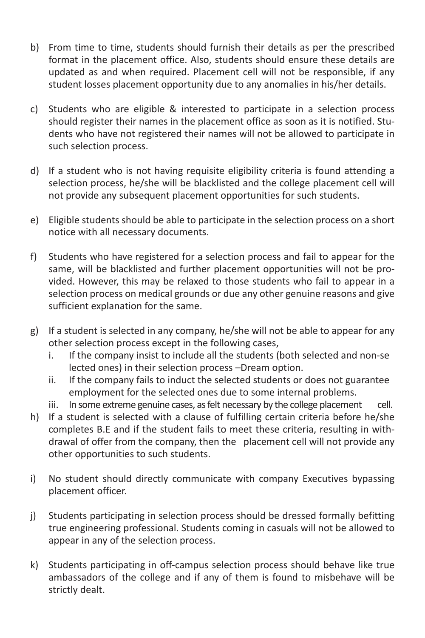- b) From time to time, students should furnish their details as per the prescribed format in the placement office. Also, students should ensure these details are updated as and when required. Placement cell will not be responsible, if any student losses placement opportunity due to any anomalies in his/her details.
- c) Students who are eligible & interested to participate in a selection process should register their names in the placement office as soon as it is notified. Students who have not registered their names will not be allowed to participate in such selection process.
- d) If a student who is not having requisite eligibility criteria is found attending a selection process, he/she will be blacklisted and the college placement cell will not provide any subsequent placement opportunities for such students.
- e) Eligible students should be able to participate in the selection process on a short notice with all necessary documents.
- f) Students who have registered for a selection process and fail to appear for the same, will be blacklisted and further placement opportunities will not be provided. However, this may be relaxed to those students who fail to appear in a selection process on medical grounds or due any other genuine reasons and give sufficient explanation for the same.
- g) If a student is selected in any company, he/she will not be able to appear for any other selection process except in the following cases,
	- i. If the company insist to include all the students (both selected and non-se lected ones) in their selection process –Dream option.
	- ii. If the company fails to induct the selected students or does not guarantee employment for the selected ones due to some internal problems.
	- iii. In some extreme genuine cases, as felt necessary by the college placement cell.
- h) If a student is selected with a clause of fulfilling certain criteria before he/she completes B.E and if the student fails to meet these criteria, resulting in withdrawal of offer from the company, then the placement cell will not provide any other opportunities to such students.
- i) No student should directly communicate with company Executives bypassing placement officer.
- j) Students participating in selection process should be dressed formally befitting true engineering professional. Students coming in casuals will not be allowed to appear in any of the selection process.
- k) Students participating in off-campus selection process should behave like true ambassadors of the college and if any of them is found to misbehave will be strictly dealt.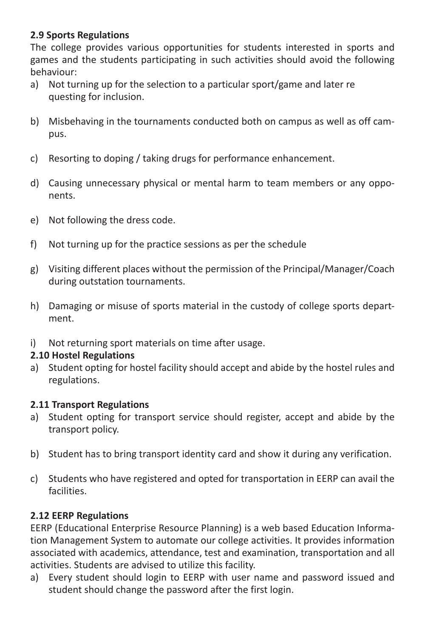#### **2.9 Sports Regulations**

The college provides various opportunities for students interested in sports and games and the students participating in such activities should avoid the following behaviour:

- a) Not turning up for the selection to a particular sport/game and later re questing for inclusion.
- b) Misbehaving in the tournaments conducted both on campus as well as off campus.
- c) Resorting to doping / taking drugs for performance enhancement.
- d) Causing unnecessary physical or mental harm to team members or any opponents.
- e) Not following the dress code.
- f) Not turning up for the practice sessions as per the schedule
- g) Visiting different places without the permission of the Principal/Manager/Coach during outstation tournaments.
- h) Damaging or misuse of sports material in the custody of college sports department.
- i) Not returning sport materials on time after usage.

#### **2.10 Hostel Regulations**

a) Student opting for hostel facility should accept and abide by the hostel rules and regulations.

#### **2.11 Transport Regulations**

- a) Student opting for transport service should register, accept and abide by the transport policy.
- b) Student has to bring transport identity card and show it during any verification.
- c) Students who have registered and opted for transportation in EERP can avail the facilities.

#### **2.12 EERP Regulations**

EERP (Educational Enterprise Resource Planning) is a web based Education Information Management System to automate our college activities. It provides information associated with academics, attendance, test and examination, transportation and all activities. Students are advised to utilize this facility.

a) Every student should login to EERP with user name and password issued and student should change the password after the first login.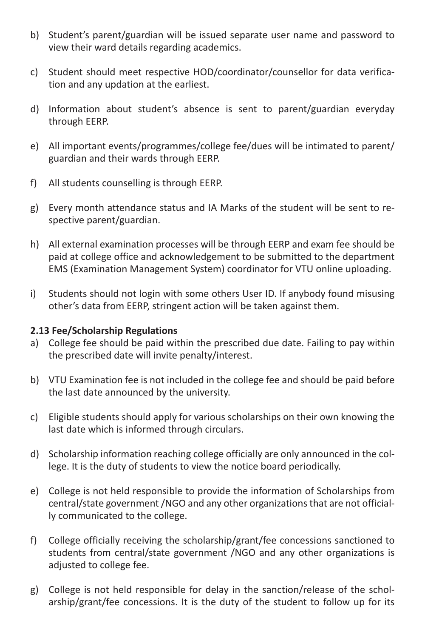- b) Student's parent/guardian will be issued separate user name and password to view their ward details regarding academics.
- c) Student should meet respective HOD/coordinator/counsellor for data verification and any updation at the earliest.
- d) Information about student's absence is sent to parent/guardian everyday through EERP.
- e) All important events/programmes/college fee/dues will be intimated to parent/ guardian and their wards through EERP.
- f) All students counselling is through EERP.
- g) Every month attendance status and IA Marks of the student will be sent to respective parent/guardian.
- h) All external examination processes will be through EERP and exam fee should be paid at college office and acknowledgement to be submitted to the department EMS (Examination Management System) coordinator for VTU online uploading.
- i) Students should not login with some others User ID. If anybody found misusing other's data from EERP, stringent action will be taken against them.

#### **2.13 Fee/Scholarship Regulations**

- a) College fee should be paid within the prescribed due date. Failing to pay within the prescribed date will invite penalty/interest.
- b) VTU Examination fee is not included in the college fee and should be paid before the last date announced by the university.
- c) Eligible students should apply for various scholarships on their own knowing the last date which is informed through circulars.
- d) Scholarship information reaching college officially are only announced in the college. It is the duty of students to view the notice board periodically.
- e) College is not held responsible to provide the information of Scholarships from central/state government /NGO and any other organizations that are not officially communicated to the college.
- f) College officially receiving the scholarship/grant/fee concessions sanctioned to students from central/state government /NGO and any other organizations is adjusted to college fee.
- g) College is not held responsible for delay in the sanction/release of the scholarship/grant/fee concessions. It is the duty of the student to follow up for its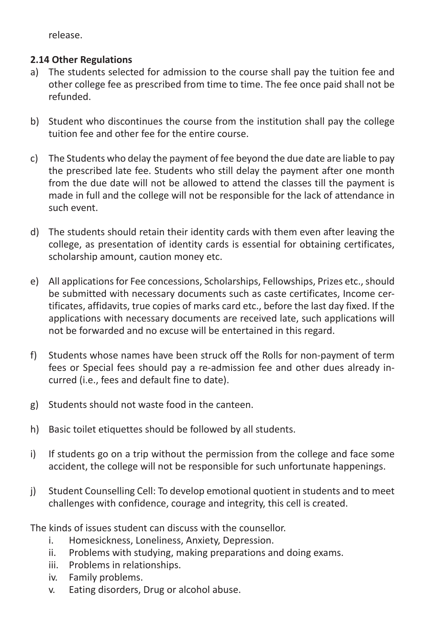release.

#### **2.14 Other Regulations**

- a) The students selected for admission to the course shall pay the tuition fee and other college fee as prescribed from time to time. The fee once paid shall not be refunded.
- b) Student who discontinues the course from the institution shall pay the college tuition fee and other fee for the entire course.
- c) The Students who delay the payment of fee beyond the due date are liable to pay the prescribed late fee. Students who still delay the payment after one month from the due date will not be allowed to attend the classes till the payment is made in full and the college will not be responsible for the lack of attendance in such event.
- d) The students should retain their identity cards with them even after leaving the college, as presentation of identity cards is essential for obtaining certificates, scholarship amount, caution money etc.
- e) All applications for Fee concessions, Scholarships, Fellowships, Prizes etc., should be submitted with necessary documents such as caste certificates, Income certificates, affidavits, true copies of marks card etc., before the last day fixed. If the applications with necessary documents are received late, such applications will not be forwarded and no excuse will be entertained in this regard.
- f) Students whose names have been struck off the Rolls for non-payment of term fees or Special fees should pay a re-admission fee and other dues already incurred (i.e., fees and default fine to date).
- g) Students should not waste food in the canteen.
- h) Basic toilet etiquettes should be followed by all students.
- i) If students go on a trip without the permission from the college and face some accident, the college will not be responsible for such unfortunate happenings.
- j) Student Counselling Cell: To develop emotional quotient in students and to meet challenges with confidence, courage and integrity, this cell is created.

The kinds of issues student can discuss with the counsellor.

- i. Homesickness, Loneliness, Anxiety, Depression.
- ii. Problems with studying, making preparations and doing exams.
- iii. Problems in relationships.
- iv. Family problems.
- v. Eating disorders, Drug or alcohol abuse.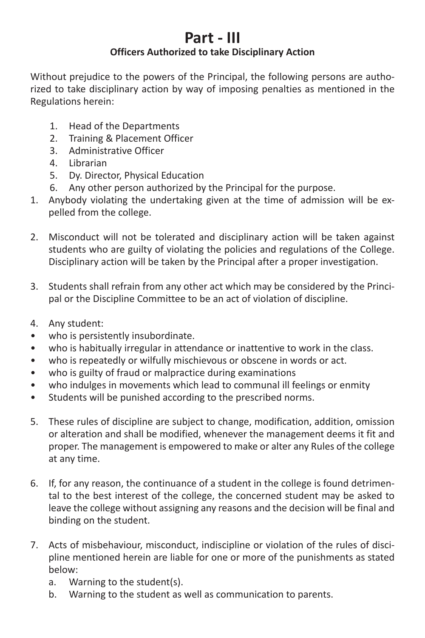### **Part - III**

#### **Officers Authorized to take Disciplinary Action**

Without prejudice to the powers of the Principal, the following persons are authorized to take disciplinary action by way of imposing penalties as mentioned in the Regulations herein:

- 1. Head of the Departments
- 2. Training & Placement Officer
- 3. Administrative Officer
- 4. Librarian
- 5. Dy. Director, Physical Education
- 6. Any other person authorized by the Principal for the purpose.
- 1. Anybody violating the undertaking given at the time of admission will be expelled from the college.
- 2. Misconduct will not be tolerated and disciplinary action will be taken against students who are guilty of violating the policies and regulations of the College. Disciplinary action will be taken by the Principal after a proper investigation.
- 3. Students shall refrain from any other act which may be considered by the Principal or the Discipline Committee to be an act of violation of discipline.
- 4. Any student:
- who is persistently insubordinate.
- who is habitually irregular in attendance or inattentive to work in the class.
- who is repeatedly or wilfully mischievous or obscene in words or act.
- who is guilty of fraud or malpractice during examinations
- who indulges in movements which lead to communal ill feelings or enmity
- Students will be punished according to the prescribed norms.
- 5. These rules of discipline are subject to change, modification, addition, omission or alteration and shall be modified, whenever the management deems it fit and proper. The management is empowered to make or alter any Rules of the college at any time.
- 6. If, for any reason, the continuance of a student in the college is found detrimental to the best interest of the college, the concerned student may be asked to leave the college without assigning any reasons and the decision will be final and binding on the student.
- 7. Acts of misbehaviour, misconduct, indiscipline or violation of the rules of discipline mentioned herein are liable for one or more of the punishments as stated below:
	- a. Warning to the student(s).
	- b. Warning to the student as well as communication to parents.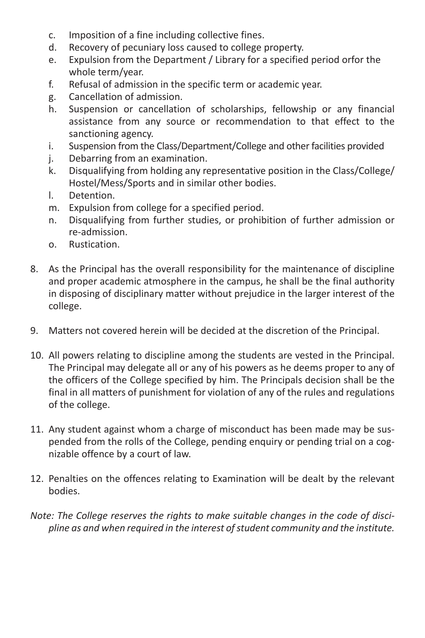- c. Imposition of a fine including collective fines.
- d. Recovery of pecuniary loss caused to college property.
- e. Expulsion from the Department / Library for a specified period orfor the whole term/year.
- f. Refusal of admission in the specific term or academic year.
- g. Cancellation of admission.
- h. Suspension or cancellation of scholarships, fellowship or any financial assistance from any source or recommendation to that effect to the sanctioning agency.
- i. Suspension from the Class/Department/College and other facilities provided
- j. Debarring from an examination.
- k. Disqualifying from holding any representative position in the Class/College/ Hostel/Mess/Sports and in similar other bodies.
- l. Detention.
- m. Expulsion from college for a specified period.
- n. Disqualifying from further studies, or prohibition of further admission or re-admission.
- o. Rustication.
- 8. As the Principal has the overall responsibility for the maintenance of discipline and proper academic atmosphere in the campus, he shall be the final authority in disposing of disciplinary matter without prejudice in the larger interest of the college.
- 9. Matters not covered herein will be decided at the discretion of the Principal.
- 10. All powers relating to discipline among the students are vested in the Principal. The Principal may delegate all or any of his powers as he deems proper to any of the officers of the College specified by him. The Principals decision shall be the final in all matters of punishment for violation of any of the rules and regulations of the college.
- 11. Any student against whom a charge of misconduct has been made may be suspended from the rolls of the College, pending enquiry or pending trial on a cognizable offence by a court of law.
- 12. Penalties on the offences relating to Examination will be dealt by the relevant bodies.
- *Note: The College reserves the rights to make suitable changes in the code of discipline as and when required in the interest of student community and the institute.*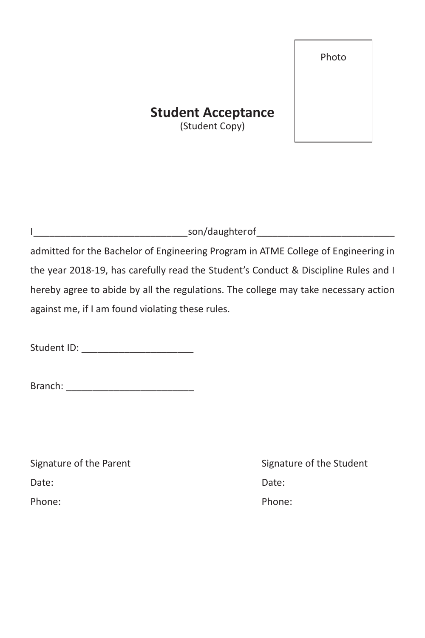Photo

### **Student Acceptance**

(Student Copy)

I \_\_\_\_\_\_\_\_\_\_\_\_\_\_\_\_\_\_\_\_\_\_\_\_\_\_\_\_\_ son/daughter of \_\_\_\_\_\_\_\_\_\_\_\_\_\_\_\_\_\_\_\_\_\_\_\_\_\_ admitted for the Bachelor of Engineering Program in ATME College of Engineering in the year 2018-19, has carefully read the Student's Conduct & Discipline Rules and I hereby agree to abide by all the regulations. The college may take necessary action against me, if I am found violating these rules.

Student ID:

Branch: \_\_\_\_\_\_\_\_\_\_\_\_\_\_\_\_\_\_\_\_\_\_\_\_

Date: **Date:** Date: **Date: Date: Date: Date:** Phone: The Phone: Phone: Phone: Phone: Phone: Phone: Phone: Phone: Phone: Phone: Phone: Phone: Phone: Phone: Phone: Phone: Phone: Phone: Phone: Phone: Phone: Phone: Phone: Phone: Phone: Phone: Phone: Phone: Phone: Phone: P

Signature of the Parent Signature of the Student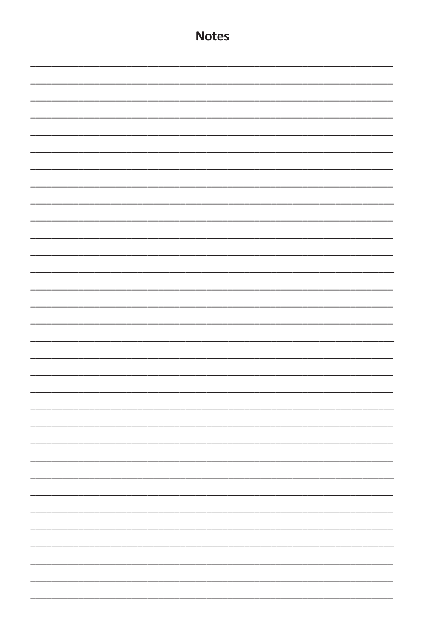| <b>Notes</b> |
|--------------|
|              |
|              |
|              |
|              |
|              |
|              |
|              |
|              |
|              |
|              |
|              |
|              |
|              |
|              |
|              |
|              |
|              |
|              |
|              |
|              |
|              |
|              |
|              |
|              |
|              |
|              |
|              |
|              |
|              |
|              |
|              |
|              |
|              |
|              |
|              |
|              |
|              |
|              |